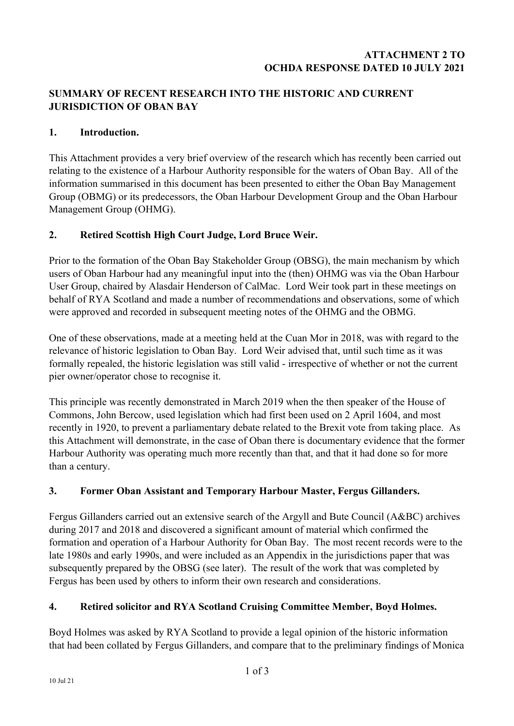#### **ATTACHMENT 2 TO OCHDA RESPONSE DATED 10 JULY 2021**

## **SUMMARY OF RECENT RESEARCH INTO THE HISTORIC AND CURRENT JURISDICTION OF OBAN BAY**

#### **1. Introduction.**

This Attachment provides a very brief overview of the research which has recently been carried out relating to the existence of a Harbour Authority responsible for the waters of Oban Bay. All of the information summarised in this document has been presented to either the Oban Bay Management Group (OBMG) or its predecessors, the Oban Harbour Development Group and the Oban Harbour Management Group (OHMG).

#### **2. Retired Scottish High Court Judge, Lord Bruce Weir.**

Prior to the formation of the Oban Bay Stakeholder Group (OBSG), the main mechanism by which users of Oban Harbour had any meaningful input into the (then) OHMG was via the Oban Harbour User Group, chaired by Alasdair Henderson of CalMac. Lord Weir took part in these meetings on behalf of RYA Scotland and made a number of recommendations and observations, some of which were approved and recorded in subsequent meeting notes of the OHMG and the OBMG.

One of these observations, made at a meeting held at the Cuan Mor in 2018, was with regard to the relevance of historic legislation to Oban Bay. Lord Weir advised that, until such time as it was formally repealed, the historic legislation was still valid - irrespective of whether or not the current pier owner/operator chose to recognise it.

This principle was recently demonstrated in March 2019 when the then speaker of the House of Commons, John Bercow, used legislation which had first been used on 2 April 1604, and most recently in 1920, to prevent a parliamentary debate related to the Brexit vote from taking place. As this Attachment will demonstrate, in the case of Oban there is documentary evidence that the former Harbour Authority was operating much more recently than that, and that it had done so for more than a century.

## **3. Former Oban Assistant and Temporary Harbour Master, Fergus Gillanders.**

Fergus Gillanders carried out an extensive search of the Argyll and Bute Council (A&BC) archives during 2017 and 2018 and discovered a significant amount of material which confirmed the formation and operation of a Harbour Authority for Oban Bay. The most recent records were to the late 1980s and early 1990s, and were included as an Appendix in the jurisdictions paper that was subsequently prepared by the OBSG (see later). The result of the work that was completed by Fergus has been used by others to inform their own research and considerations.

#### **4. Retired solicitor and RYA Scotland Cruising Committee Member, Boyd Holmes.**

Boyd Holmes was asked by RYA Scotland to provide a legal opinion of the historic information that had been collated by Fergus Gillanders, and compare that to the preliminary findings of Monica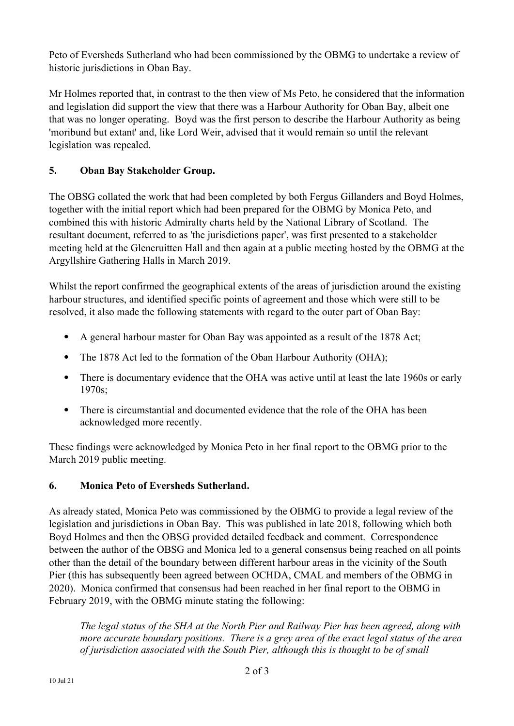Peto of Eversheds Sutherland who had been commissioned by the OBMG to undertake a review of historic jurisdictions in Oban Bay.

Mr Holmes reported that, in contrast to the then view of Ms Peto, he considered that the information and legislation did support the view that there was a Harbour Authority for Oban Bay, albeit one that was no longer operating. Boyd was the first person to describe the Harbour Authority as being 'moribund but extant' and, like Lord Weir, advised that it would remain so until the relevant legislation was repealed.

# **5. Oban Bay Stakeholder Group.**

The OBSG collated the work that had been completed by both Fergus Gillanders and Boyd Holmes, together with the initial report which had been prepared for the OBMG by Monica Peto, and combined this with historic Admiralty charts held by the National Library of Scotland. The resultant document, referred to as 'the jurisdictions paper', was first presented to a stakeholder meeting held at the Glencruitten Hall and then again at a public meeting hosted by the OBMG at the Argyllshire Gathering Halls in March 2019.

Whilst the report confirmed the geographical extents of the areas of jurisdiction around the existing harbour structures, and identified specific points of agreement and those which were still to be resolved, it also made the following statements with regard to the outer part of Oban Bay:

- A general harbour master for Oban Bay was appointed as a result of the 1878 Act;
- The 1878 Act led to the formation of the Oban Harbour Authority (OHA);
- There is documentary evidence that the OHA was active until at least the late 1960s or early 1970s;
- There is circumstantial and documented evidence that the role of the OHA has been acknowledged more recently.

These findings were acknowledged by Monica Peto in her final report to the OBMG prior to the March 2019 public meeting.

## **6. Monica Peto of Eversheds Sutherland.**

As already stated, Monica Peto was commissioned by the OBMG to provide a legal review of the legislation and jurisdictions in Oban Bay. This was published in late 2018, following which both Boyd Holmes and then the OBSG provided detailed feedback and comment. Correspondence between the author of the OBSG and Monica led to a general consensus being reached on all points other than the detail of the boundary between different harbour areas in the vicinity of the South Pier (this has subsequently been agreed between OCHDA, CMAL and members of the OBMG in 2020). Monica confirmed that consensus had been reached in her final report to the OBMG in February 2019, with the OBMG minute stating the following:

*The legal status of the SHA at the North Pier and Railway Pier has been agreed, along with more accurate boundary positions. There is a grey area of the exact legal status of the area of jurisdiction associated with the South Pier, although this is thought to be of small*